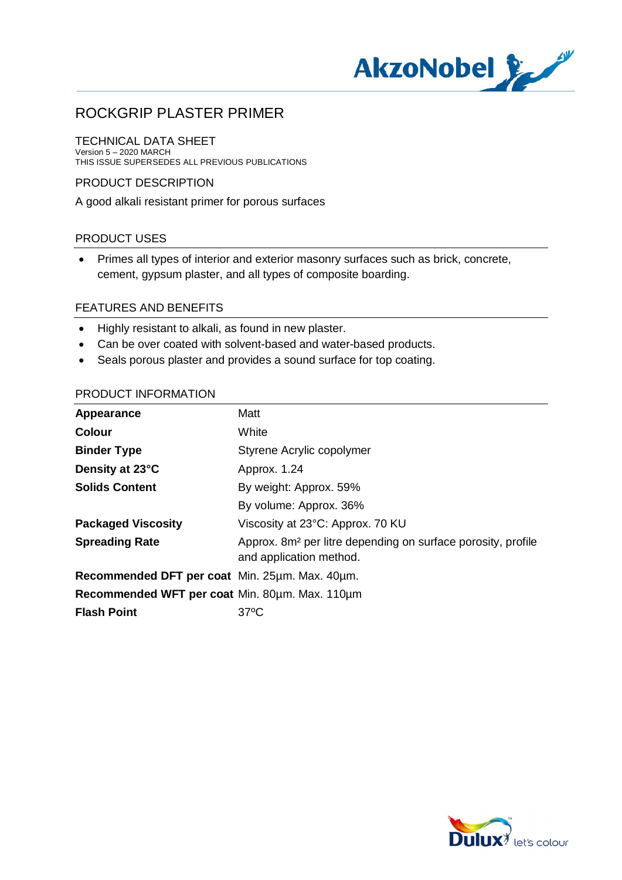

## TECHNICAL DATA SHEET

Version 5 – 2020 MARCH THIS ISSUE SUPERSEDES ALL PREVIOUS PUBLICATIONS

## PRODUCT DESCRIPTION

A good alkali resistant primer for porous surfaces

## PRODUCT USES

· Primes all types of interior and exterior masonry surfaces such as brick, concrete, cement, gypsum plaster, and all types of composite boarding.

### FEATURES AND BENEFITS

- · Highly resistant to alkali, as found in new plaster.
- · Can be over coated with solvent-based and water-based products.
- · Seals porous plaster and provides a sound surface for top coating.

#### PRODUCT INFORMATION

| Appearance                                     | Matt                                                                                                |
|------------------------------------------------|-----------------------------------------------------------------------------------------------------|
| <b>Colour</b>                                  | White                                                                                               |
| <b>Binder Type</b>                             | Styrene Acrylic copolymer                                                                           |
| Density at 23°C                                | Approx. 1.24                                                                                        |
| <b>Solids Content</b>                          | By weight: Approx. 59%                                                                              |
|                                                | By volume: Approx. 36%                                                                              |
| <b>Packaged Viscosity</b>                      | Viscosity at 23°C: Approx. 70 KU                                                                    |
| <b>Spreading Rate</b>                          | Approx. 8m <sup>2</sup> per litre depending on surface porosity, profile<br>and application method. |
| Recommended DFT per coat Min. 25um. Max. 40um. |                                                                                                     |
| Recommended WFT per coat Min. 80um. Max. 110um |                                                                                                     |
| <b>Flash Point</b>                             | $37^{\circ}$ C                                                                                      |

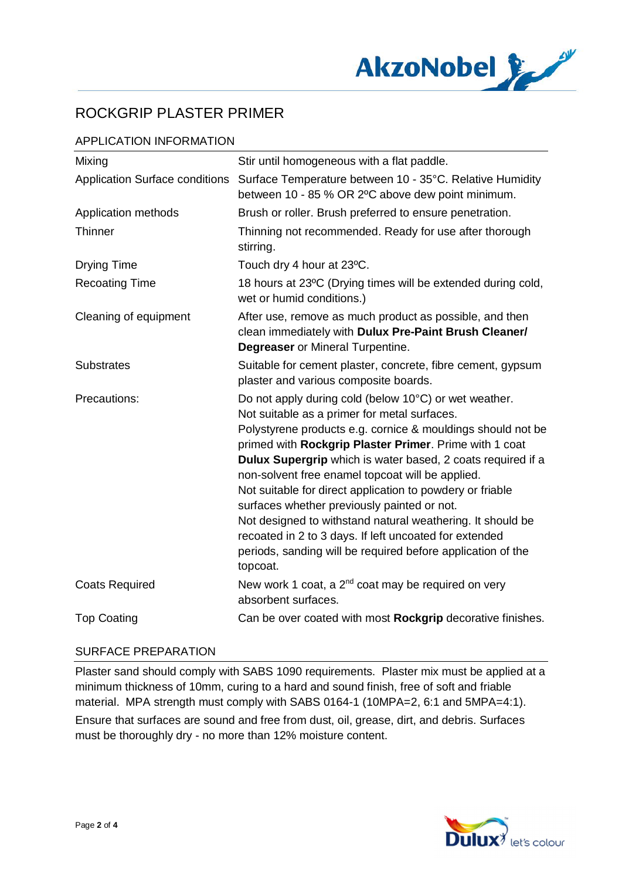

## APPLICATION INFORMATION

| Mixing                                | Stir until homogeneous with a flat paddle.                                                                                                                                                                                                                                                                                                                                                                                                                                                                                                                                                                                                                       |
|---------------------------------------|------------------------------------------------------------------------------------------------------------------------------------------------------------------------------------------------------------------------------------------------------------------------------------------------------------------------------------------------------------------------------------------------------------------------------------------------------------------------------------------------------------------------------------------------------------------------------------------------------------------------------------------------------------------|
| <b>Application Surface conditions</b> | Surface Temperature between 10 - 35°C. Relative Humidity<br>between 10 - 85 % OR 2°C above dew point minimum.                                                                                                                                                                                                                                                                                                                                                                                                                                                                                                                                                    |
| Application methods                   | Brush or roller. Brush preferred to ensure penetration.                                                                                                                                                                                                                                                                                                                                                                                                                                                                                                                                                                                                          |
| Thinner                               | Thinning not recommended. Ready for use after thorough<br>stirring.                                                                                                                                                                                                                                                                                                                                                                                                                                                                                                                                                                                              |
| <b>Drying Time</b>                    | Touch dry 4 hour at 23°C.                                                                                                                                                                                                                                                                                                                                                                                                                                                                                                                                                                                                                                        |
| <b>Recoating Time</b>                 | 18 hours at 23°C (Drying times will be extended during cold,<br>wet or humid conditions.)                                                                                                                                                                                                                                                                                                                                                                                                                                                                                                                                                                        |
| Cleaning of equipment                 | After use, remove as much product as possible, and then<br>clean immediately with Dulux Pre-Paint Brush Cleaner/<br><b>Degreaser</b> or Mineral Turpentine.                                                                                                                                                                                                                                                                                                                                                                                                                                                                                                      |
| <b>Substrates</b>                     | Suitable for cement plaster, concrete, fibre cement, gypsum<br>plaster and various composite boards.                                                                                                                                                                                                                                                                                                                                                                                                                                                                                                                                                             |
| Precautions:                          | Do not apply during cold (below 10°C) or wet weather.<br>Not suitable as a primer for metal surfaces.<br>Polystyrene products e.g. cornice & mouldings should not be<br>primed with Rockgrip Plaster Primer. Prime with 1 coat<br>Dulux Supergrip which is water based, 2 coats required if a<br>non-solvent free enamel topcoat will be applied.<br>Not suitable for direct application to powdery or friable<br>surfaces whether previously painted or not.<br>Not designed to withstand natural weathering. It should be<br>recoated in 2 to 3 days. If left uncoated for extended<br>periods, sanding will be required before application of the<br>topcoat. |
| <b>Coats Required</b>                 | New work 1 coat, a 2 <sup>nd</sup> coat may be required on very<br>absorbent surfaces.                                                                                                                                                                                                                                                                                                                                                                                                                                                                                                                                                                           |
| <b>Top Coating</b>                    | Can be over coated with most Rockgrip decorative finishes.                                                                                                                                                                                                                                                                                                                                                                                                                                                                                                                                                                                                       |

### SURFACE PREPARATION

Plaster sand should comply with SABS 1090 requirements. Plaster mix must be applied at a minimum thickness of 10mm, curing to a hard and sound finish, free of soft and friable material. MPA strength must comply with SABS 0164-1 (10MPA=2, 6:1 and 5MPA=4:1). Ensure that surfaces are sound and free from dust, oil, grease, dirt, and debris. Surfaces must be thoroughly dry - no more than 12% moisture content.

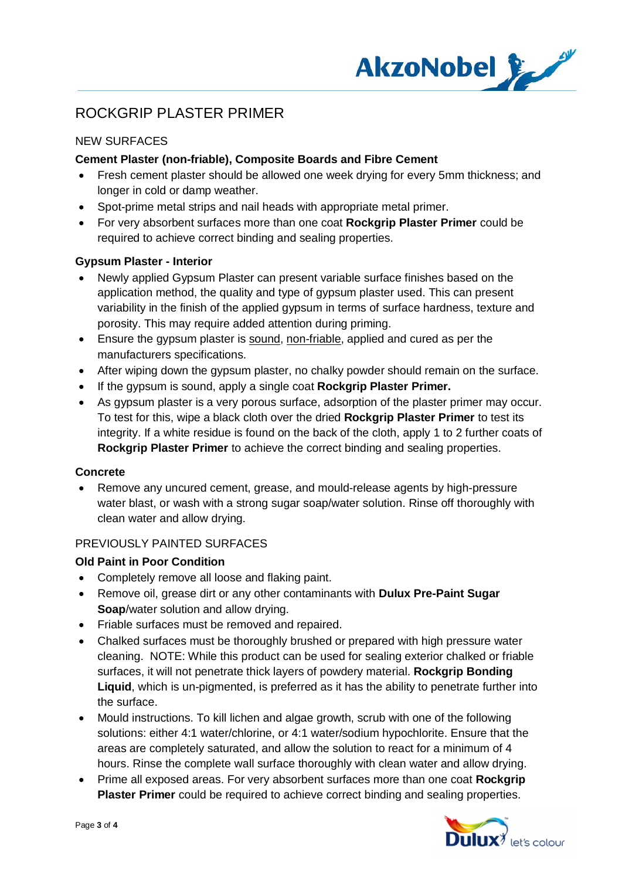

## NEW SURFACES

## **Cement Plaster (non-friable), Composite Boards and Fibre Cement**

- · Fresh cement plaster should be allowed one week drying for every 5mm thickness; and longer in cold or damp weather.
- · Spot-prime metal strips and nail heads with appropriate metal primer.
- · For very absorbent surfaces more than one coat **Rockgrip Plaster Primer** could be required to achieve correct binding and sealing properties.

### **Gypsum Plaster - Interior**

- · Newly applied Gypsum Plaster can present variable surface finishes based on the application method, the quality and type of gypsum plaster used. This can present variability in the finish of the applied gypsum in terms of surface hardness, texture and porosity. This may require added attention during priming.
- · Ensure the gypsum plaster is sound, non-friable, applied and cured as per the manufacturers specifications.
- After wiping down the gypsum plaster, no chalky powder should remain on the surface.
- · If the gypsum is sound, apply a single coat **Rockgrip Plaster Primer.**
- · As gypsum plaster is a very porous surface, adsorption of the plaster primer may occur. To test for this, wipe a black cloth over the dried **Rockgrip Plaster Primer** to test its integrity. If a white residue is found on the back of the cloth, apply 1 to 2 further coats of **Rockgrip Plaster Primer** to achieve the correct binding and sealing properties.

### **Concrete**

· Remove any uncured cement, grease, and mould-release agents by high-pressure water blast, or wash with a strong sugar soap/water solution. Rinse off thoroughly with clean water and allow drying.

## PREVIOUSLY PAINTED SURFACES

### **Old Paint in Poor Condition**

- · Completely remove all loose and flaking paint.
- · Remove oil, grease dirt or any other contaminants with **Dulux Pre-Paint Sugar Soap**/water solution and allow drying.
- · Friable surfaces must be removed and repaired.
- · Chalked surfaces must be thoroughly brushed or prepared with high pressure water cleaning. NOTE: While this product can be used for sealing exterior chalked or friable surfaces, it will not penetrate thick layers of powdery material. **Rockgrip Bonding Liquid**, which is un-pigmented, is preferred as it has the ability to penetrate further into the surface.
- · Mould instructions. To kill lichen and algae growth, scrub with one of the following solutions: either 4:1 water/chlorine, or 4:1 water/sodium hypochlorite. Ensure that the areas are completely saturated, and allow the solution to react for a minimum of 4 hours. Rinse the complete wall surface thoroughly with clean water and allow drying.
- · Prime all exposed areas. For very absorbent surfaces more than one coat **Rockgrip Plaster Primer** could be required to achieve correct binding and sealing properties.